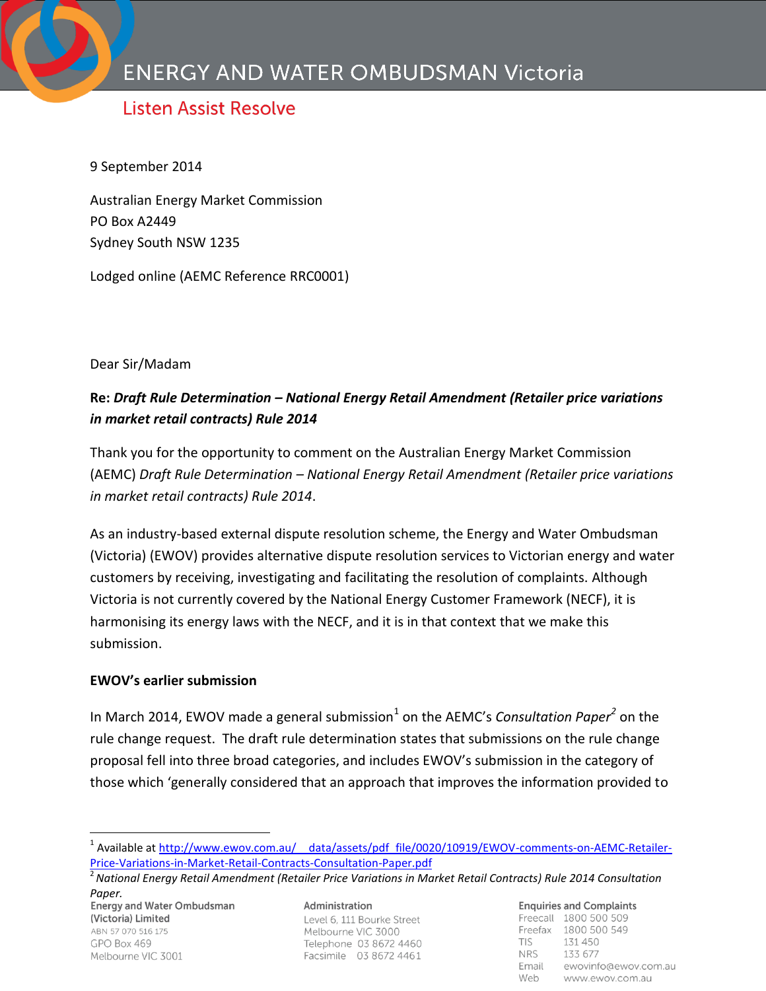# **Listen Assist Resolve**

9 September 2014

Australian Energy Market Commission PO Box A2449 Sydney South NSW 1235

Lodged online (AEMC Reference RRC0001)

Dear Sir/Madam

# **Re:** *Draft Rule Determination – National Energy Retail Amendment (Retailer price variations in market retail contracts) Rule 2014*

Thank you for the opportunity to comment on the Australian Energy Market Commission (AEMC) *Draft Rule Determination – National Energy Retail Amendment (Retailer price variations in market retail contracts) Rule 2014*.

As an industry-based external dispute resolution scheme, the Energy and Water Ombudsman (Victoria) (EWOV) provides alternative dispute resolution services to Victorian energy and water customers by receiving, investigating and facilitating the resolution of complaints. Although Victoria is not currently covered by the National Energy Customer Framework (NECF), it is harmonising its energy laws with the NECF, and it is in that context that we make this submission.

#### **EWOV's earlier submission**

In March 2014, EWOV made a general submission<sup>1</sup> on the AEMC's *Consultation Paper<sup>2</sup>* on the rule change request. The draft rule determination states that submissions on the rule change proposal fell into three broad categories, and includes EWOV's submission in the category of those which 'generally considered that an approach that improves the information provided to

Paper.<br>Energy and Water Ombudsman (Victoria) Limited ABN 57 070 516 175  $GPO$   $Box$  469 Melbourne VIC 3001

 $\overline{a}$ 

Administration Level 6, 111 Bourke Street Melbourne VIC 3000 Telephone 03 8672 4460 Facsimile 03 8672 4461

**Enquiries and Complaints** Freecall 1800 500 509 Freefax 1800 500 549 **TIS** 131 450 **NRS** 133 677 Email ewovinfo@ewov.com.au Web www.ewov.com.au

<sup>&</sup>lt;sup>1</sup> Available at http://www.ewov.com.au/ data/assets/pdf\_file/0020/10919/EWOV-comments-on-AEMC-Retailer-[Price-Variations-in-Market-Retail-Contracts-Consultation-Paper.pdf](http://www.ewov.com.au/__data/assets/pdf_file/0020/10919/EWOV-comments-on-AEMC-Retailer-Price-Variations-in-Market-Retail-Contracts-Consultation-Paper.pdf)

<sup>&</sup>lt;sup>2</sup> National Energy Retail Amendment (Retailer Price Variations in Market Retail Contracts) Rule 2014 Consultation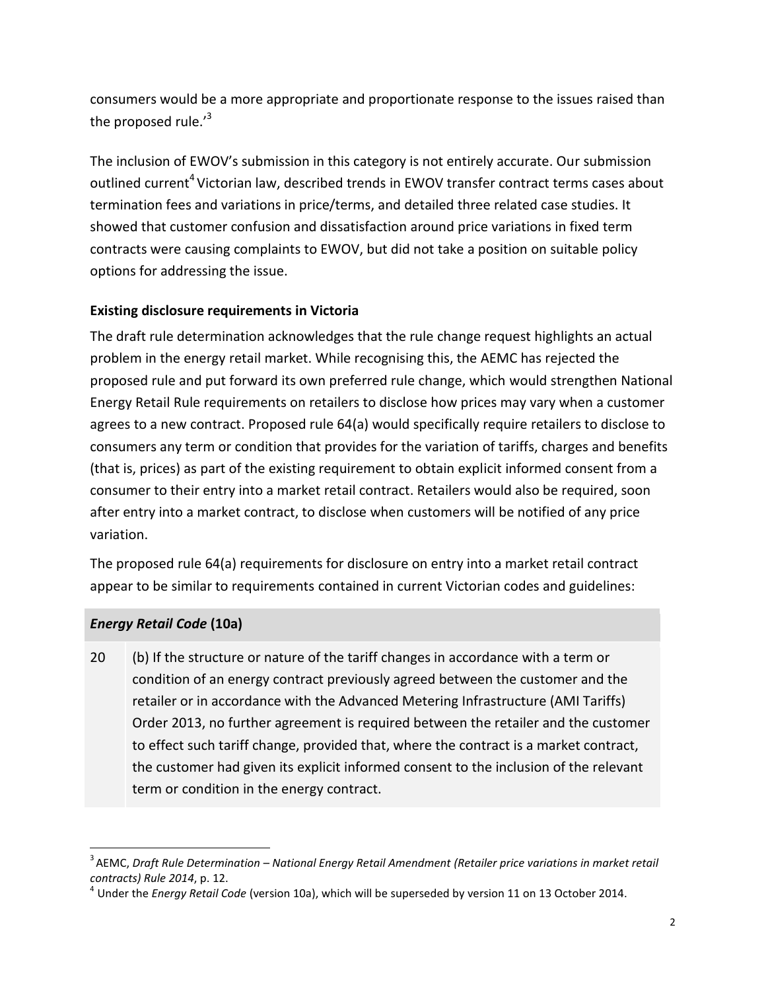consumers would be a more appropriate and proportionate response to the issues raised than the proposed rule. $i^3$ 

The inclusion of EWOV's submission in this category is not entirely accurate. Our submission outlined current<sup>4</sup> Victorian law, described trends in EWOV transfer contract terms cases about termination fees and variations in price/terms, and detailed three related case studies. It showed that customer confusion and dissatisfaction around price variations in fixed term contracts were causing complaints to EWOV, but did not take a position on suitable policy options for addressing the issue.

### **Existing disclosure requirements in Victoria**

The draft rule determination acknowledges that the rule change request highlights an actual problem in the energy retail market. While recognising this, the AEMC has rejected the proposed rule and put forward its own preferred rule change, which would strengthen National Energy Retail Rule requirements on retailers to disclose how prices may vary when a customer agrees to a new contract. Proposed rule 64(a) would specifically require retailers to disclose to consumers any term or condition that provides for the variation of tariffs, charges and benefits (that is, prices) as part of the existing requirement to obtain explicit informed consent from a consumer to their entry into a market retail contract. Retailers would also be required, soon after entry into a market contract, to disclose when customers will be notified of any price variation.

The proposed rule 64(a) requirements for disclosure on entry into a market retail contract appear to be similar to requirements contained in current Victorian codes and guidelines:

## *Energy Retail Code* **(10a)**

 $\overline{a}$ 

20 (b) If the structure or nature of the tariff changes in accordance with a term or condition of an energy contract previously agreed between the customer and the retailer or in accordance with the Advanced Metering Infrastructure (AMI Tariffs) Order 2013, no further agreement is required between the retailer and the customer to effect such tariff change, provided that, where the contract is a market contract, the customer had given its explicit informed consent to the inclusion of the relevant term or condition in the energy contract.

<sup>3</sup> AEMC, *Draft Rule Determination – National Energy Retail Amendment (Retailer price variations in market retail contracts) Rule 2014*, p. 12.

<sup>4</sup> Under the *Energy Retail Code* (version 10a), which will be superseded by version 11 on 13 October 2014.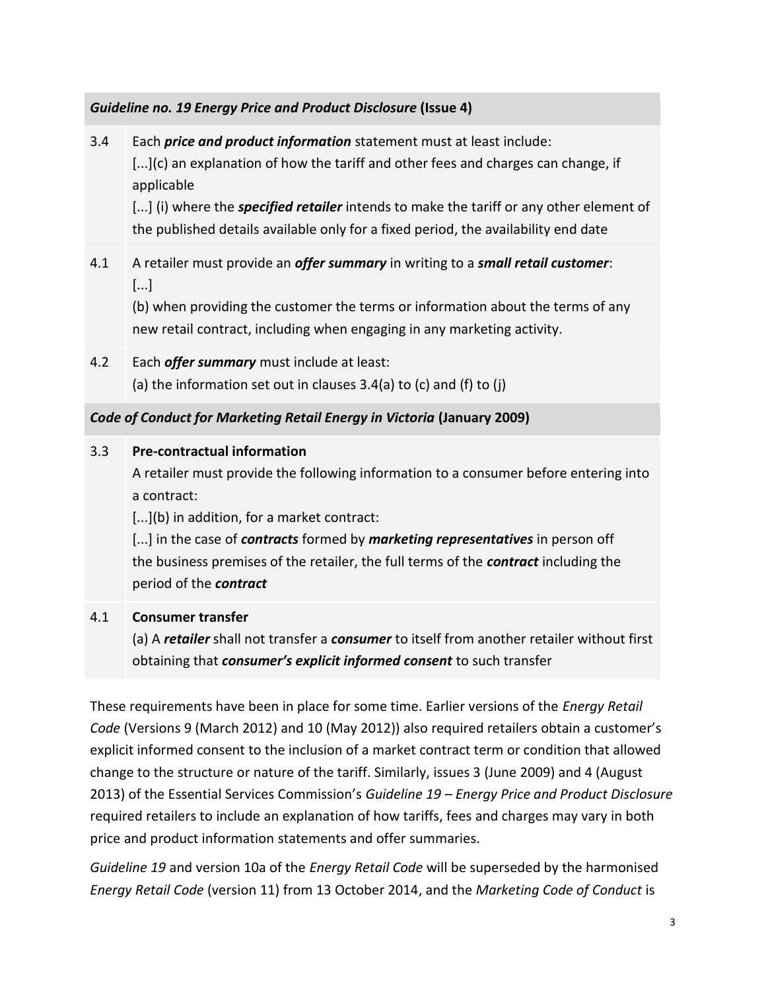#### *Guideline no. 19 Energy Price and Product Disclosure* **(Issue 4)**

3.4 Each *price and product information* statement must at least include: [...](c) an explanation of how the tariff and other fees and charges can change, if applicable [...] (i) where the *specified retailer* intends to make the tariff or any other element of the published details available only for a fixed period, the availability end date 4.1 A retailer must provide an *offer summary* in writing to a *small retail customer*: [...] (b) when providing the customer the terms or information about the terms of any new retail contract, including when engaging in any marketing activity. 4.2 Each *offer summary* must include at least: (a) the information set out in clauses  $3.4(a)$  to (c) and (f) to (j) *Code of Conduct for Marketing Retail Energy in Victoria* **(January 2009)** 3.3 **Pre-contractual information**  A retailer must provide the following information to a consumer before entering into a contract: [...](b) in addition, for a market contract: [...] in the case of *contracts* formed by *marketing representatives* in person off the business premises of the retailer, the full terms of the *contract* including the period of the *contract* 4.1 **Consumer transfer** (a) A *retailer* shall not transfer a *consumer* to itself from another retailer without first obtaining that *consumer's explicit informed consent* to such transfer

These requirements have been in place for some time. Earlier versions of the *Energy Retail Code* (Versions 9 (March 2012) and 10 (May 2012)) also required retailers obtain a customer's explicit informed consent to the inclusion of a market contract term or condition that allowed change to the structure or nature of the tariff. Similarly, issues 3 (June 2009) and 4 (August 2013) of the Essential Services Commission's *Guideline 19 – Energy Price and Product Disclosure* required retailers to include an explanation of how tariffs, fees and charges may vary in both price and product information statements and offer summaries.

*Guideline 19* and version 10a of the *Energy Retail Code* will be superseded by the harmonised *Energy Retail Code* (version 11) from 13 October 2014, and the *Marketing Code of Conduct* is